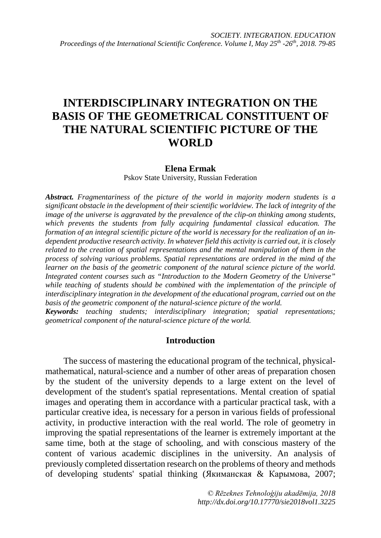# **INTERDISCIPLINARY INTEGRATION ON THE BASIS OF THE GEOMETRICAL CONSTITUENT OF THE NATURAL SCIENTIFIC PICTURE OF THE WORLD**

## **Elena Ermak**

Pskov State University, Russian Federation

*Abstract. Fragmentariness of the picture of the world in majority modern students is a significant obstacle in the development of their scientific worldview. The lack of integrity of the image of the universe is aggravated by the prevalence of the clip-on thinking among students, which prevents the students from fully acquiring fundamental classical education. The formation of an integral scientific picture of the world is necessary for the realization of an independent productive research activity. In whatever field this activity is carried out, it is closely related to the creation of spatial representations and the mental manipulation of them in the process of solving various problems. Spatial representations are ordered in the mind of the learner on the basis of the geometric component of the natural science picture of the world. Integrated content courses such as "Introduction to the Modern Geometry of the Universe"* while teaching of students should be combined with the implementation of the principle of *interdisciplinary integration in the development of the educational program, carried out on the basis of the geometric component of the natural-science picture of the world.*

*Keywords: teaching students; interdisciplinary integration; spatial representations; geometrical component of the natural-science picture of the world.*

## **Introduction**

The success of mastering the educational program of the technical, physicalmathematical, natural-science and a number of other areas of preparation chosen by the student of the university depends to a large extent on the level of development of the student's spatial representations. Mental creation of spatial images and operating them in accordance with a particular practical task, with a particular creative idea, is necessary for a person in various fields of professional activity, in productive interaction with the real world. The role of geometry in improving the spatial representations of the learner is extremely important at the same time, both at the stage of schooling, and with conscious mastery of the content of various academic disciplines in the university. An analysis of previously completed dissertation research on the problems of theory and methods of developing students' spatial thinking (Якиманская & Карымова, 2007;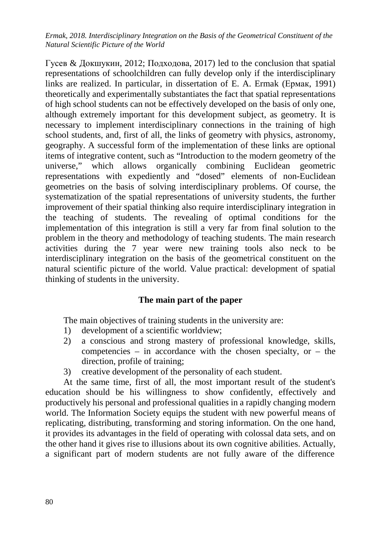*Ermak, 2018. Interdisciplinary Integration on the Basis of the Geometrical Constituent of the Natural Scientific Picture of the World*

Гусев & Докшукин, 2012; Подходова, 2017) led to the conclusion that spatial representations of schoolchildren can fully develop only if the interdisciplinary links are realized. In particular, in dissertation of E. A. Ermak (Ермак, 1991) theoretically and experimentally substantiates the fact that spatial representations of high school students can not be effectively developed on the basis of only one, although extremely important for this development subject, as geometry. It is necessary to implement interdisciplinary connections in the training of high school students, and, first of all, the links of geometry with physics, astronomy, geography. A successful form of the implementation of these links are optional items of integrative content, such as "Introduction to the modern geometry of the universe," which allows organically combining Euclidean geometric representations with expediently and "dosed" elements of non-Euclidean geometries on the basis of solving interdisciplinary problems. Of course, the systematization of the spatial representations of university students, the further improvement of their spatial thinking also require interdisciplinary integration in the teaching of students. The revealing of optimal conditions for the implementation of this integration is still a very far from final solution to the problem in the theory and methodology of teaching students. The main research activities during the 7 year were new training tools also neck to be interdisciplinary integration on the basis of the geometrical constituent on the natural scientific picture of the world. Value practical: development of spatial thinking of students in the university.

## **The main part of the paper**

The main objectives of training students in the university are:

- 1) development of a scientific worldview;
- 2) a conscious and strong mastery of professional knowledge, skills, competencies – in accordance with the chosen specialty, or – the direction, profile of training;
- 3) creative development of the personality of each student.

At the same time, first of all, the most important result of the student's education should be his willingness to show confidently, effectively and productively his personal and professional qualities in a rapidly changing modern world. The Information Society equips the student with new powerful means of replicating, distributing, transforming and storing information. On the one hand, it provides its advantages in the field of operating with colossal data sets, and on the other hand it gives rise to illusions about its own cognitive abilities. Actually, a significant part of modern students are not fully aware of the difference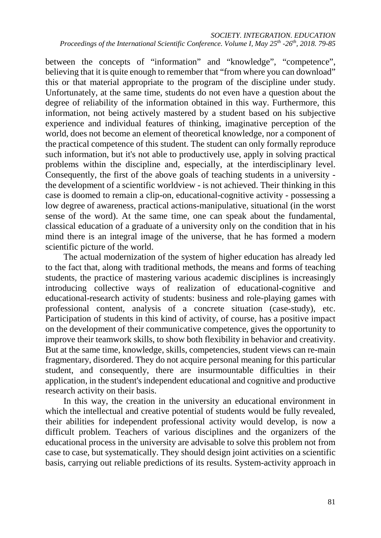between the concepts of "information" and "knowledge", "competence", believing that it is quite enough to remember that "from where you can download" this or that material appropriate to the program of the discipline under study. Unfortunately, at the same time, students do not even have a question about the degree of reliability of the information obtained in this way. Furthermore, this information, not being actively mastered by a student based on his subjective experience and individual features of thinking, imaginative perception of the world, does not become an element of theoretical knowledge, nor a component of the practical competence of this student. The student can only formally reproduce such information, but it's not able to productively use, apply in solving practical problems within the discipline and, especially, at the interdisciplinary level. Consequently, the first of the above goals of teaching students in a university the development of a scientific worldview - is not achieved. Their thinking in this case is doomed to remain a clip-on, educational-cognitive activity - possessing a low degree of awareness, practical actions-manipulative, situational (in the worst sense of the word). At the same time, one can speak about the fundamental, classical education of a graduate of a university only on the condition that in his mind there is an integral image of the universe, that he has formed a modern scientific picture of the world.

The actual modernization of the system of higher education has already led to the fact that, along with traditional methods, the means and forms of teaching students, the practice of mastering various academic disciplines is increasingly introducing collective ways of realization of educational-cognitive and educational-research activity of students: business and role-playing games with professional content, analysis of a concrete situation (case-study), etc. Participation of students in this kind of activity, of course, has a positive impact on the development of their communicative competence, gives the opportunity to improve their teamwork skills, to show both flexibility in behavior and creativity. But at the same time, knowledge, skills, competencies, student views can re-main fragmentary, disordered. They do not acquire personal meaning for this particular student, and consequently, there are insurmountable difficulties in their application, in the student's independent educational and cognitive and productive research activity on their basis.

In this way, the creation in the university an educational environment in which the intellectual and creative potential of students would be fully revealed, their abilities for independent professional activity would develop, is now a difficult problem. Teachers of various disciplines and the organizers of the educational process in the university are advisable to solve this problem not from case to case, but systematically. They should design joint activities on a scientific basis, carrying out reliable predictions of its results. System-activity approach in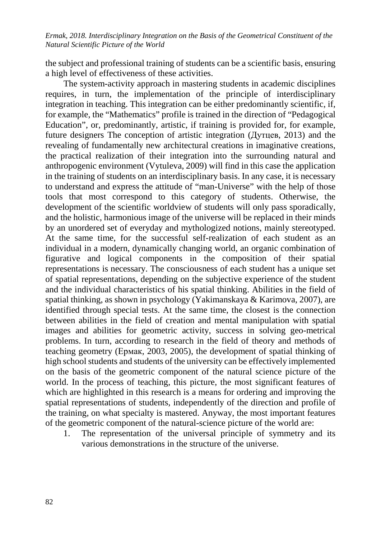*Ermak, 2018. Interdisciplinary Integration on the Basis of the Geometrical Constituent of the Natural Scientific Picture of the World*

the subject and professional training of students can be a scientific basis, ensuring a high level of effectiveness of these activities.

The system-activity approach in mastering students in academic disciplines requires, in turn, the implementation of the principle of interdisciplinary integration in teaching. This integration can be either predominantly scientific, if, for example, the "Mathematics" profile is trained in the direction of "Pedagogical Education", or, predominantly, artistic, if training is provided for, for example, future designers The conception of artistic integration (Дутцев, 2013) and the revealing of fundamentally new architectural creations in imaginative creations, the practical realization of their integration into the surrounding natural and anthropogenic environment (Vytuleva, 2009) will find in this case the application in the training of students on an interdisciplinary basis. In any case, it is necessary to understand and express the attitude of "man-Universe" with the help of those tools that most correspond to this category of students. Otherwise, the development of the scientific worldview of students will only pass sporadically, and the holistic, harmonious image of the universe will be replaced in their minds by an unordered set of everyday and mythologized notions, mainly stereotyped. At the same time, for the successful self-realization of each student as an individual in a modern, dynamically changing world, an organic combination of figurative and logical components in the composition of their spatial representations is necessary. The consciousness of each student has a unique set of spatial representations, depending on the subjective experience of the student and the individual characteristics of his spatial thinking. Abilities in the field of spatial thinking, as shown in psychology (Yakimanskaya & Karimova, 2007), are identified through special tests. At the same time, the closest is the connection between abilities in the field of creation and mental manipulation with spatial images and abilities for geometric activity, success in solving geo-metrical problems. In turn, according to research in the field of theory and methods of teaching geometry (Ермак, 2003, 2005), the development of spatial thinking of high school students and students of the university can be effectively implemented on the basis of the geometric component of the natural science picture of the world. In the process of teaching, this picture, the most significant features of which are highlighted in this research is a means for ordering and improving the spatial representations of students, independently of the direction and profile of the training, on what specialty is mastered. Anyway, the most important features of the geometric component of the natural-science picture of the world are:

1. The representation of the universal principle of symmetry and its various demonstrations in the structure of the universe.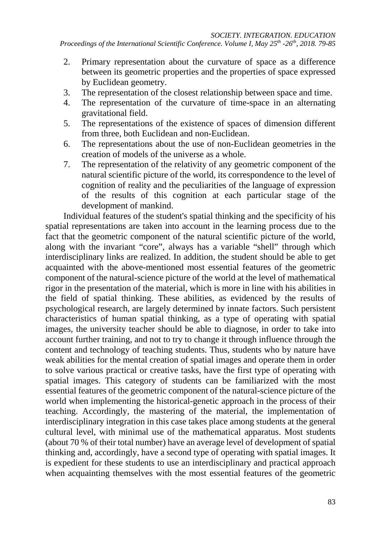- 2. Primary representation about the curvature of space as a difference between its geometric properties and the properties of space expressed by Euclidean geometry.
- 3. The representation of the closest relationship between space and time.
- 4. The representation of the curvature of time-space in an alternating gravitational field.
- 5. The representations of the existence of spaces of dimension different from three, both Euclidean and non-Euclidean.
- 6. The representations about the use of non-Euclidean geometries in the creation of models of the universe as a whole.
- 7. The representation of the relativity of any geometric component of the natural scientific picture of the world, its correspondence to the level of cognition of reality and the peculiarities of the language of expression of the results of this cognition at each particular stage of the development of mankind.

Individual features of the student's spatial thinking and the specificity of his spatial representations are taken into account in the learning process due to the fact that the geometric component of the natural scientific picture of the world, along with the invariant "core", always has a variable "shell" through which interdisciplinary links are realized. In addition, the student should be able to get acquainted with the above-mentioned most essential features of the geometric component of the natural-science picture of the world at the level of mathematical rigor in the presentation of the material, which is more in line with his abilities in the field of spatial thinking. These abilities, as evidenced by the results of psychological research, are largely determined by innate factors. Such persistent characteristics of human spatial thinking, as a type of operating with spatial images, the university teacher should be able to diagnose, in order to take into account further training, and not to try to change it through influence through the content and technology of teaching students. Thus, students who by nature have weak abilities for the mental creation of spatial images and operate them in order to solve various practical or creative tasks, have the first type of operating with spatial images. This category of students can be familiarized with the most essential features of the geometric component of the natural-science picture of the world when implementing the historical-genetic approach in the process of their teaching. Accordingly, the mastering of the material, the implementation of interdisciplinary integration in this case takes place among students at the general cultural level, with minimal use of the mathematical apparatus. Most students (about 70 % of their total number) have an average level of development of spatial thinking and, accordingly, have a second type of operating with spatial images. It is expedient for these students to use an interdisciplinary and practical approach when acquainting themselves with the most essential features of the geometric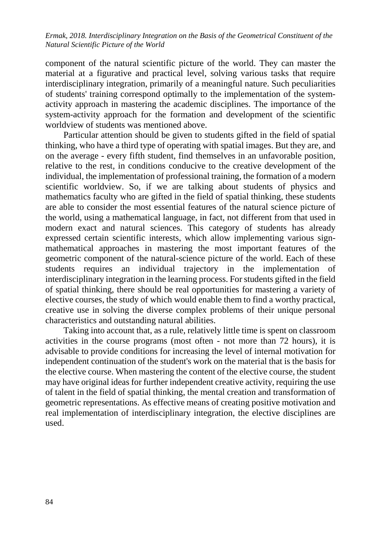*Ermak, 2018. Interdisciplinary Integration on the Basis of the Geometrical Constituent of the Natural Scientific Picture of the World*

component of the natural scientific picture of the world. They can master the material at a figurative and practical level, solving various tasks that require interdisciplinary integration, primarily of a meaningful nature. Such peculiarities of students' training correspond optimally to the implementation of the systemactivity approach in mastering the academic disciplines. The importance of the system-activity approach for the formation and development of the scientific worldview of students was mentioned above.

Particular attention should be given to students gifted in the field of spatial thinking, who have a third type of operating with spatial images. But they are, and on the average - every fifth student, find themselves in an unfavorable position, relative to the rest, in conditions conducive to the creative development of the individual, the implementation of professional training, the formation of a modern scientific worldview. So, if we are talking about students of physics and mathematics faculty who are gifted in the field of spatial thinking, these students are able to consider the most essential features of the natural science picture of the world, using a mathematical language, in fact, not different from that used in modern exact and natural sciences. This category of students has already expressed certain scientific interests, which allow implementing various signmathematical approaches in mastering the most important features of the geometric component of the natural-science picture of the world. Each of these students requires an individual trajectory in the implementation of interdisciplinary integration in the learning process. For students gifted in the field of spatial thinking, there should be real opportunities for mastering a variety of elective courses, the study of which would enable them to find a worthy practical, creative use in solving the diverse complex problems of their unique personal characteristics and outstanding natural abilities.

Taking into account that, as a rule, relatively little time is spent on classroom activities in the course programs (most often - not more than 72 hours), it is advisable to provide conditions for increasing the level of internal motivation for independent continuation of the student's work on the material that is the basis for the elective course. When mastering the content of the elective course, the student may have original ideas for further independent creative activity, requiring the use of talent in the field of spatial thinking, the mental creation and transformation of geometric representations. As effective means of creating positive motivation and real implementation of interdisciplinary integration, the elective disciplines are used.